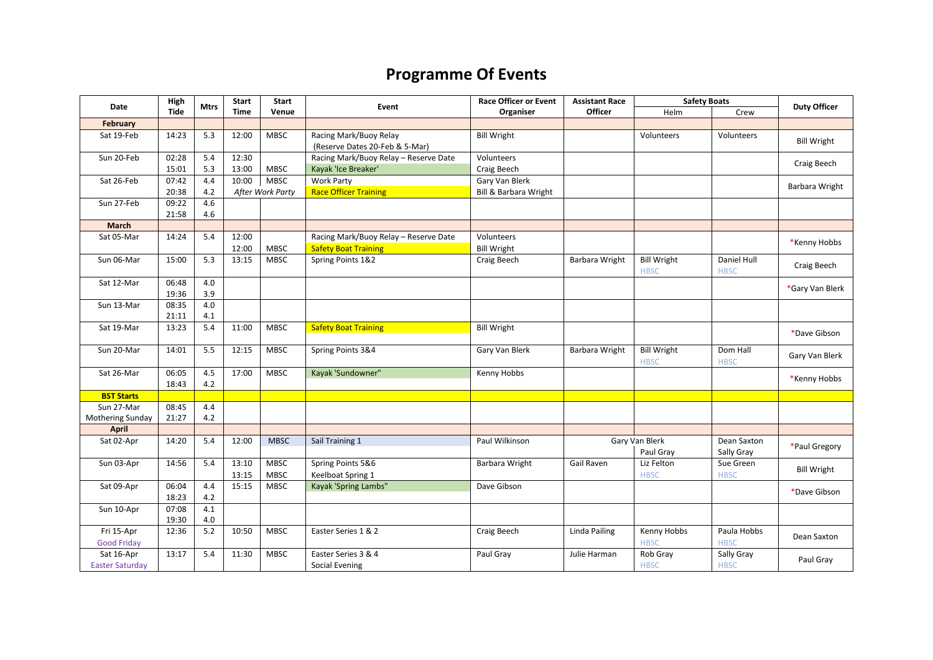## **Programme Of Events**

| Date                   | High        | <b>Mtrs</b> | <b>Start</b> | <b>Start</b>     | Event                                                    | <b>Race Officer or Event</b> | <b>Assistant Race</b> | <b>Safety Boats</b>               |                            | <b>Duty Officer</b> |
|------------------------|-------------|-------------|--------------|------------------|----------------------------------------------------------|------------------------------|-----------------------|-----------------------------------|----------------------------|---------------------|
|                        | <b>Tide</b> |             | <b>Time</b>  | Venue            |                                                          | Organiser                    | <b>Officer</b>        | Helm                              | Crew                       |                     |
| February               |             |             |              |                  |                                                          |                              |                       |                                   |                            |                     |
| Sat 19-Feb             | 14:23       | 5.3         | 12:00        | <b>MBSC</b>      | Racing Mark/Buoy Relay<br>(Reserve Dates 20-Feb & 5-Mar) | <b>Bill Wright</b>           |                       | Volunteers                        | Volunteers                 | <b>Bill Wright</b>  |
| Sun 20-Feb             | 02:28       | 5.4         | 12:30        |                  | Racing Mark/Buoy Relay - Reserve Date                    | Volunteers                   |                       |                                   |                            | Craig Beech         |
|                        | 15:01       | 5.3         | 13:00        | <b>MBSC</b>      | Kayak 'Ice Breaker'                                      | Craig Beech                  |                       |                                   |                            |                     |
| Sat 26-Feb             | 07:42       | 4.4         | 10:00        | <b>MBSC</b>      | Work Party                                               | Gary Van Blerk               |                       |                                   |                            | Barbara Wright      |
|                        | 20:38       | 4.2         |              | After Work Party | <b>Race Officer Training</b>                             | Bill & Barbara Wright        |                       |                                   |                            |                     |
| Sun 27-Feb             | 09:22       | 4.6         |              |                  |                                                          |                              |                       |                                   |                            |                     |
|                        | 21:58       | 4.6         |              |                  |                                                          |                              |                       |                                   |                            |                     |
| March                  |             |             |              |                  |                                                          |                              |                       |                                   |                            |                     |
| Sat 05-Mar             | 14:24       | 5.4         | 12:00        |                  | Racing Mark/Buoy Relay - Reserve Date                    | Volunteers                   |                       |                                   |                            | *Kenny Hobbs        |
|                        |             |             | 12:00        | <b>MBSC</b>      | <b>Safety Boat Training</b>                              | <b>Bill Wright</b>           |                       |                                   |                            |                     |
| Sun 06-Mar             | 15:00       | 5.3         | 13:15        | <b>MBSC</b>      | Spring Points 1&2                                        | Craig Beech                  | Barbara Wright        | <b>Bill Wright</b><br><b>HBSC</b> | Daniel Hull<br><b>HBSC</b> | Craig Beech         |
| Sat 12-Mar             | 06:48       | 4.0         |              |                  |                                                          |                              |                       |                                   |                            |                     |
|                        | 19:36       | 3.9         |              |                  |                                                          |                              |                       |                                   |                            | *Gary Van Blerk     |
| Sun 13-Mar             | 08:35       | 4.0         |              |                  |                                                          |                              |                       |                                   |                            |                     |
|                        | 21:11       | 4.1         |              |                  |                                                          |                              |                       |                                   |                            |                     |
| Sat 19-Mar             | 13:23       | 5.4         | 11:00        | MBSC             | <b>Safety Boat Training</b>                              | <b>Bill Wright</b>           |                       |                                   |                            | *Dave Gibson        |
| Sun 20-Mar             | 14:01       | 5.5         | 12:15        | <b>MBSC</b>      | Spring Points 3&4                                        | Gary Van Blerk               | Barbara Wright        | <b>Bill Wright</b><br><b>HBSC</b> | Dom Hall<br><b>HBSC</b>    | Gary Van Blerk      |
| Sat 26-Mar             | 06:05       | 4.5         | 17:00        | <b>MBSC</b>      | Kayak 'Sundowner"                                        | Kenny Hobbs                  |                       |                                   |                            |                     |
|                        | 18:43       | 4.2         |              |                  |                                                          |                              |                       |                                   |                            | *Kenny Hobbs        |
| <b>BST Starts</b>      |             |             |              |                  |                                                          |                              |                       |                                   |                            |                     |
| Sun 27-Mar             | 08:45       | 4.4         |              |                  |                                                          |                              |                       |                                   |                            |                     |
| Mothering Sunday       | 21:27       | 4.2         |              |                  |                                                          |                              |                       |                                   |                            |                     |
| <b>April</b>           |             |             |              |                  |                                                          |                              |                       |                                   |                            |                     |
| Sat 02-Apr             | 14:20       | 5.4         | 12:00        | <b>MBSC</b>      | Sail Training 1                                          | Paul Wilkinson               |                       | Gary Van Blerk<br>Paul Gray       | Dean Saxton<br>Sally Gray  | *Paul Gregory       |
| Sun 03-Apr             | 14:56       | 5.4         | 13:10        | <b>MBSC</b>      | Spring Points 5&6                                        | Barbara Wright               | Gail Raven            | Liz Felton                        | Sue Green                  |                     |
|                        |             |             | 13:15        | <b>MBSC</b>      | Keelboat Spring 1                                        |                              |                       | <b>HBSC</b>                       | <b>HBSC</b>                | <b>Bill Wright</b>  |
| Sat 09-Apr             | 06:04       | 4.4         | 15:15        | <b>MBSC</b>      | Kayak 'Spring Lambs"                                     | Dave Gibson                  |                       |                                   |                            |                     |
|                        | 18:23       | $4.2\,$     |              |                  |                                                          |                              |                       |                                   |                            | *Dave Gibson        |
| Sun 10-Apr             | 07:08       | 4.1         |              |                  |                                                          |                              |                       |                                   |                            |                     |
|                        | 19:30       | 4.0         |              |                  |                                                          |                              |                       |                                   |                            |                     |
| Fri 15-Apr             | 12:36       | 5.2         | 10:50        | <b>MBSC</b>      | Easter Series 1 & 2                                      | Craig Beech                  | <b>Linda Pailing</b>  | Kenny Hobbs                       | Paula Hobbs                |                     |
| <b>Good Friday</b>     |             |             |              |                  |                                                          |                              |                       | <b>HBSC</b>                       | <b>HBSC</b>                | Dean Saxton         |
| Sat 16-Apr             | 13:17       | 5.4         | 11:30        | <b>MBSC</b>      | Easter Series 3 & 4                                      | Paul Gray                    | Julie Harman          | Rob Gray                          | Sally Gray                 |                     |
| <b>Easter Saturday</b> |             |             |              |                  | Social Evening                                           |                              |                       | <b>HBSC</b>                       | <b>HBSC</b>                | Paul Gray           |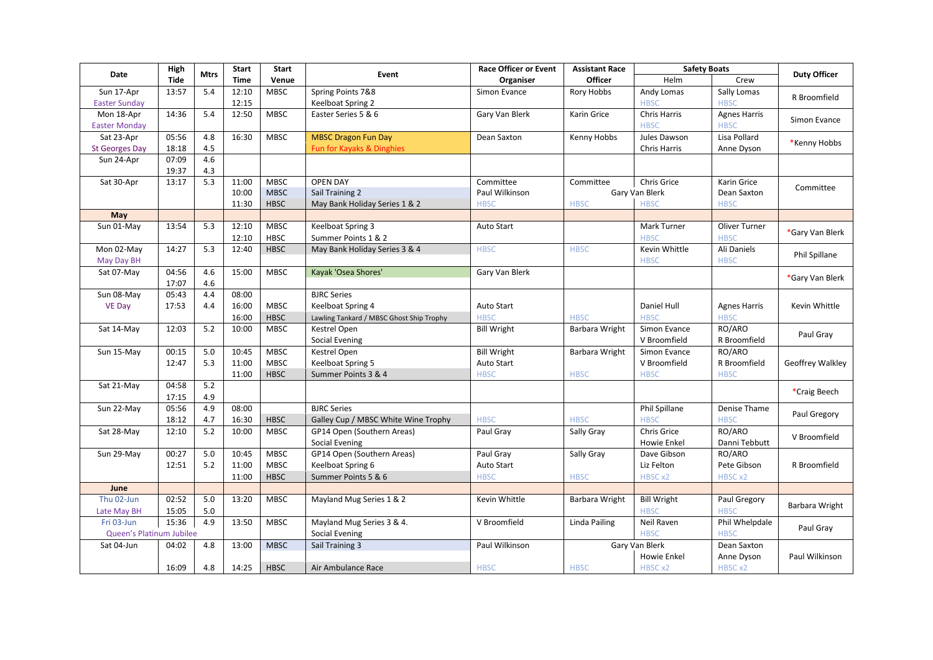| Date                     | High           | <b>Mtrs</b> | Start       | <b>Start</b> | Event                                    | <b>Race Officer or Event</b> | <b>Assistant Race</b> | <b>Safety Boats</b>                  |                      | <b>Duty Officer</b> |
|--------------------------|----------------|-------------|-------------|--------------|------------------------------------------|------------------------------|-----------------------|--------------------------------------|----------------------|---------------------|
|                          | <b>Tide</b>    |             | <b>Time</b> | Venue        |                                          | Organiser                    | <b>Officer</b>        | Helm                                 | Crew                 |                     |
| Sun 17-Apr               | 13:57          | 5.4         | 12:10       | <b>MBSC</b>  | Spring Points 7&8                        | Simon Evance                 | Rory Hobbs            | Andy Lomas                           | Sally Lomas          | R Broomfield        |
| <b>Easter Sunday</b>     |                |             | 12:15       |              | Keelboat Spring 2                        |                              |                       | <b>HBSC</b>                          | <b>HBSC</b>          |                     |
| Mon 18-Apr               | 14:36          | 5.4         | 12:50       | <b>MBSC</b>  | Easter Series 5 & 6                      | Gary Van Blerk               | Karin Grice           | <b>Chris Harris</b>                  | <b>Agnes Harris</b>  | Simon Evance        |
| <b>Easter Monday</b>     |                |             |             |              |                                          |                              |                       | <b>HBSC</b>                          | <b>HBSC</b>          |                     |
| Sat 23-Apr               | 05:56          | 4.8         | 16:30       | <b>MBSC</b>  | <b>MBSC Dragon Fun Day</b>               | Dean Saxton                  | Kenny Hobbs           | Jules Dawson                         | Lisa Pollard         | *Kenny Hobbs        |
| <b>St Georges Day</b>    | 18:18          | 4.5         |             |              | Fun for Kayaks & Dinghies                |                              |                       | Chris Harris                         | Anne Dyson           |                     |
| Sun 24-Apr               | 07:09          | 4.6         |             |              |                                          |                              |                       |                                      |                      |                     |
|                          | 19:37<br>13:17 | 4.3<br>5.3  |             | <b>MBSC</b>  | <b>OPEN DAY</b>                          |                              |                       |                                      |                      |                     |
| Sat 30-Apr               |                |             | 11:00       | <b>MBSC</b>  | Sail Training 2                          | Committee                    | Committee             | <b>Chris Grice</b><br>Gary Van Blerk | Karin Grice          | Committee           |
|                          |                |             | 10:00       |              |                                          | Paul Wilkinson               |                       | <b>HBSC</b>                          | Dean Saxton          |                     |
|                          |                |             | 11:30       | <b>HBSC</b>  | May Bank Holiday Series 1 & 2            | <b>HBSC</b>                  | <b>HBSC</b>           |                                      | <b>HBSC</b>          |                     |
| May                      |                |             |             |              |                                          |                              |                       |                                      |                      |                     |
| Sun 01-May               | 13:54          | 5.3         | 12:10       | <b>MBSC</b>  | Keelboat Spring 3                        | <b>Auto Start</b>            |                       | Mark Turner                          | <b>Oliver Turner</b> | *Gary Van Blerk     |
|                          |                |             | 12:10       | <b>HBSC</b>  | Summer Points 1 & 2                      |                              |                       | <b>HBSC</b>                          | <b>HBSC</b>          |                     |
| Mon 02-May               | 14:27          | 5.3         | 12:40       | <b>HBSC</b>  | May Bank Holiday Series 3 & 4            | <b>HBSC</b>                  | <b>HBSC</b>           | Kevin Whittle                        | Ali Daniels          | Phil Spillane       |
| May Day BH               |                |             |             |              |                                          |                              |                       | <b>HBSC</b>                          | <b>HBSC</b>          |                     |
| Sat 07-May               | 04:56          | 4.6         | 15:00       | <b>MBSC</b>  | Kayak 'Osea Shores'                      | Gary Van Blerk               |                       |                                      |                      | *Gary Van Blerk     |
|                          | 17:07          | 4.6         |             |              |                                          |                              |                       |                                      |                      |                     |
| Sun 08-May               | 05:43          | 4.4         | 08:00       |              | <b>BJRC Series</b>                       |                              |                       |                                      |                      |                     |
| <b>VE Day</b>            | 17:53          | 4.4         | 16:00       | <b>MBSC</b>  | Keelboat Spring 4                        | <b>Auto Start</b>            |                       | Daniel Hull                          | <b>Agnes Harris</b>  | Kevin Whittle       |
|                          |                |             | 16:00       | <b>HBSC</b>  | Lawling Tankard / MBSC Ghost Ship Trophy | <b>HBSC</b>                  | <b>HBSC</b>           | <b>HBSC</b>                          | <b>HBSC</b>          |                     |
| Sat 14-May               | 12:03          | 5.2         | 10:00       | <b>MBSC</b>  | Kestrel Open                             | <b>Bill Wright</b>           | Barbara Wright        | Simon Evance                         | RO/ARO               | Paul Gray           |
|                          |                |             |             |              | Social Evening                           |                              |                       | V Broomfield                         | R Broomfield         |                     |
| Sun 15-May               | 00:15          | 5.0         | 10:45       | <b>MBSC</b>  | Kestrel Open                             | <b>Bill Wright</b>           | Barbara Wright        | Simon Evance                         | RO/ARO               |                     |
|                          | 12:47          | 5.3         | 11:00       | <b>MBSC</b>  | Keelboat Spring 5                        | <b>Auto Start</b>            |                       | V Broomfield                         | R Broomfield         | Geoffrey Walkley    |
|                          |                |             | 11:00       | <b>HBSC</b>  | Summer Points 3 & 4                      | <b>HBSC</b>                  | <b>HBSC</b>           | <b>HBSC</b>                          | <b>HBSC</b>          |                     |
| Sat 21-May               | 04:58          | 5.2         |             |              |                                          |                              |                       |                                      |                      | *Craig Beech        |
|                          | 17:15          | 4.9         |             |              |                                          |                              |                       |                                      |                      |                     |
| Sun 22-May               | 05:56          | 4.9         | 08:00       |              | <b>BJRC Series</b>                       |                              |                       | Phil Spillane                        | Denise Thame         |                     |
|                          | 18:12          | 4.7         | 16:30       | <b>HBSC</b>  | Galley Cup / MBSC White Wine Trophy      | <b>HBSC</b>                  | <b>HBSC</b>           | <b>HBSC</b>                          | <b>HBSC</b>          | Paul Gregory        |
| Sat 28-May               | 12:10          | 5.2         | 10:00       | <b>MBSC</b>  | GP14 Open (Southern Areas)               | Paul Gray                    | Sally Gray            | Chris Grice                          | RO/ARO               |                     |
|                          |                |             |             |              | Social Evening                           |                              |                       | Howie Enkel                          | Danni Tebbutt        | V Broomfield        |
| Sun 29-May               | 00:27          | 5.0         | 10:45       | <b>MBSC</b>  | GP14 Open (Southern Areas)               | Paul Gray                    | Sally Gray            | Dave Gibson                          | RO/ARO               |                     |
|                          | 12:51          | 5.2         | 11:00       | <b>MBSC</b>  | Keelboat Spring 6                        | <b>Auto Start</b>            |                       | Liz Felton                           | Pete Gibson          | R Broomfield        |
|                          |                |             | 11:00       | <b>HBSC</b>  | Summer Points 5 & 6                      | <b>HBSC</b>                  | <b>HBSC</b>           | HBSC x2                              | HBSC x2              |                     |
| June                     |                |             |             |              |                                          |                              |                       |                                      |                      |                     |
| Thu 02-Jun               | 02:52          | 5.0         | 13:20       | <b>MBSC</b>  | Mayland Mug Series 1 & 2                 | Kevin Whittle                | Barbara Wright        | <b>Bill Wright</b>                   | Paul Gregory         |                     |
| Late May BH              | 15:05          | 5.0         |             |              |                                          |                              |                       | <b>HBSC</b>                          | <b>HBSC</b>          | Barbara Wright      |
| Fri 03-Jun               | 15:36          | 4.9         | 13:50       | <b>MBSC</b>  | Mayland Mug Series 3 & 4.                | V Broomfield                 | Linda Pailing         | Neil Raven                           | Phil Whelpdale       |                     |
| Queen's Platinum Jubilee |                |             |             |              | Social Evening                           |                              |                       | <b>HBSC</b>                          | <b>HBSC</b>          | Paul Gray           |
| Sat 04-Jun               | 04:02          | 4.8         | 13:00       | <b>MBSC</b>  | Sail Training 3                          | Paul Wilkinson               |                       | Gary Van Blerk                       | Dean Saxton          |                     |
|                          |                |             |             |              |                                          |                              |                       | Howie Enkel                          | Anne Dyson           | Paul Wilkinson      |
|                          | 16:09          | 4.8         | 14:25       | <b>HBSC</b>  | Air Ambulance Race                       | <b>HBSC</b>                  | <b>HBSC</b>           | HBSC x2                              | HBSC x2              |                     |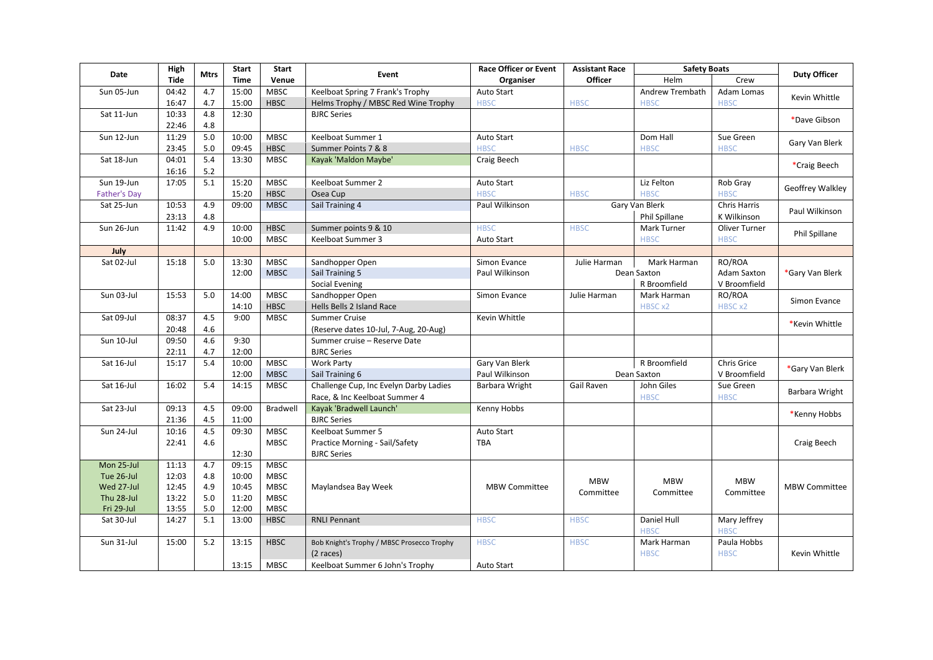| Date                | High        | <b>Mtrs</b>      | <b>Start</b> | <b>Start</b> | Event                                      | <b>Race Officer or Event</b> | <b>Assistant Race</b> | <b>Safety Boats</b>        |                             | <b>Duty Officer</b>  |
|---------------------|-------------|------------------|--------------|--------------|--------------------------------------------|------------------------------|-----------------------|----------------------------|-----------------------------|----------------------|
|                     | <b>Tide</b> |                  | <b>Time</b>  | Venue        |                                            | Organiser                    | Officer               | Helm                       | Crew                        |                      |
| Sun 05-Jun          | 04:42       | 4.7              | 15:00        | <b>MBSC</b>  | Keelboat Spring 7 Frank's Trophy           | Auto Start                   |                       | Andrew Trembath            | Adam Lomas                  | Kevin Whittle        |
|                     | 16:47       | 4.7              | 15:00        | <b>HBSC</b>  | Helms Trophy / MBSC Red Wine Trophy        | <b>HBSC</b>                  | <b>HBSC</b>           | <b>HBSC</b>                | <b>HBSC</b>                 |                      |
| Sat 11-Jun          | 10:33       | 4.8              | 12:30        |              | <b>BJRC Series</b>                         |                              |                       |                            |                             | *Dave Gibson         |
|                     | 22:46       | 4.8              |              |              |                                            |                              |                       |                            |                             |                      |
| Sun 12-Jun          | 11:29       | $5.0$            | 10:00        | <b>MBSC</b>  | Keelboat Summer 1                          | Auto Start                   |                       | Dom Hall                   | Sue Green                   | Gary Van Blerk       |
|                     | 23:45       | $5.0\,$          | 09:45        | <b>HBSC</b>  | Summer Points 7 & 8                        | <b>HBSC</b>                  | <b>HBSC</b>           | <b>HBSC</b>                | <b>HBSC</b>                 |                      |
| Sat 18-Jun          | 04:01       | 5.4              | 13:30        | <b>MBSC</b>  | Kayak 'Maldon Maybe'                       | Craig Beech                  |                       |                            |                             | *Craig Beech         |
|                     | 16:16       | $5.2\,$          |              |              |                                            |                              |                       |                            |                             |                      |
| Sun 19-Jun          | 17:05       | $\overline{5.1}$ | 15:20        | <b>MBSC</b>  | Keelboat Summer 2                          | Auto Start                   |                       | Liz Felton                 | Rob Gray                    | Geoffrey Walkley     |
| <b>Father's Day</b> |             |                  | 15:20        | <b>HBSC</b>  | Osea Cup                                   | <b>HBSC</b>                  | <b>HBSC</b>           | <b>HBSC</b>                | <b>HBSC</b>                 |                      |
| Sat 25-Jun          | 10:53       | 4.9              | 09:00        | <b>MBSC</b>  | Sail Training 4                            | Paul Wilkinson               |                       | Gary Van Blerk             | <b>Chris Harris</b>         | Paul Wilkinson       |
|                     | 23:13       | 4.8              |              |              |                                            |                              |                       | Phil Spillane              | K Wilkinson                 |                      |
| Sun 26-Jun          | 11:42       | 4.9              | 10:00        | <b>HBSC</b>  | Summer points 9 & 10                       | <b>HBSC</b>                  | <b>HBSC</b>           | Mark Turner                | Oliver Turner               | Phil Spillane        |
|                     |             |                  | 10:00        | <b>MBSC</b>  | Keelboat Summer 3                          | Auto Start                   |                       | <b>HBSC</b>                | <b>HBSC</b>                 |                      |
| July                |             |                  |              |              |                                            |                              |                       |                            |                             |                      |
| Sat 02-Jul          | 15:18       | 5.0              | 13:30        | <b>MBSC</b>  | Sandhopper Open                            | Simon Evance                 | Julie Harman          | Mark Harman                | RO/ROA                      |                      |
|                     |             |                  | 12:00        | <b>MBSC</b>  | Sail Training 5                            | Paul Wilkinson               |                       | Dean Saxton                | <b>Adam Saxton</b>          | Gary Van Blerk       |
|                     |             |                  |              |              | Social Evening                             |                              |                       | R Broomfield               | V Broomfield                |                      |
| Sun 03-Jul          | 15:53       | $5.0\,$          | 14:00        | <b>MBSC</b>  | Sandhopper Open                            | Simon Evance                 | Julie Harman          | Mark Harman                | RO/ROA                      | Simon Evance         |
|                     |             |                  | 14:10        | <b>HBSC</b>  | Hells Bells 2 Island Race                  |                              |                       | HBSC x2                    | HBSC x2                     |                      |
| Sat 09-Jul          | 08:37       | 4.5              | 9:00         | <b>MBSC</b>  | <b>Summer Cruise</b>                       | Kevin Whittle                |                       |                            |                             | *Kevin Whittle       |
|                     | 20:48       | 4.6              |              |              | (Reserve dates 10-Jul, 7-Aug, 20-Aug)      |                              |                       |                            |                             |                      |
| Sun 10-Jul          | 09:50       | 4.6              | 9:30         |              | Summer cruise - Reserve Date               |                              |                       |                            |                             |                      |
|                     | 22:11       | 4.7              | 12:00        |              | <b>BJRC Series</b>                         |                              |                       |                            |                             |                      |
| Sat 16-Jul          | 15:17       | 5.4              | 10:00        | <b>MBSC</b>  | <b>Work Party</b>                          | Gary Van Blerk               |                       | R Broomfield               | <b>Chris Grice</b>          | *Gary Van Blerk      |
|                     |             |                  | 12:00        | <b>MBSC</b>  | Sail Training 6                            | Paul Wilkinson               |                       | Dean Saxton                | V Broomfield                |                      |
| Sat 16-Jul          | 16:02       | 5.4              | 14:15        | <b>MBSC</b>  | Challenge Cup, Inc Evelyn Darby Ladies     | Barbara Wright               | Gail Raven            | John Giles                 | Sue Green                   | Barbara Wright       |
|                     |             |                  |              |              | Race, & Inc Keelboat Summer 4              |                              |                       | <b>HBSC</b>                | <b>HBSC</b>                 |                      |
| Sat 23-Jul          | 09:13       | 4.5              | 09:00        | Bradwell     | Kayak 'Bradwell Launch'                    | Kenny Hobbs                  |                       |                            |                             | *Kenny Hobbs         |
|                     | 21:36       | 4.5              | 11:00        |              | <b>BJRC Series</b>                         |                              |                       |                            |                             |                      |
| Sun 24-Jul          | 10:16       | 4.5              | 09:30        | <b>MBSC</b>  | Keelboat Summer 5                          | Auto Start                   |                       |                            |                             |                      |
|                     | 22:41       | 4.6              |              | <b>MBSC</b>  | Practice Morning - Sail/Safety             | <b>TBA</b>                   |                       |                            |                             | Craig Beech          |
|                     |             |                  | 12:30        |              | <b>BJRC Series</b>                         |                              |                       |                            |                             |                      |
| Mon 25-Jul          | 11:13       | 4.7              | 09:15        | <b>MBSC</b>  |                                            |                              |                       |                            |                             |                      |
| Tue 26-Jul          | 12:03       | 4.8              | 10:00        | <b>MBSC</b>  |                                            |                              | <b>MBW</b>            | <b>MBW</b>                 | <b>MBW</b>                  |                      |
| Wed 27-Jul          | 12:45       | 4.9              | 10:45        | <b>MBSC</b>  | Maylandsea Bay Week                        | <b>MBW Committee</b>         | Committee             | Committee                  | Committee                   | <b>MBW Committee</b> |
| Thu 28-Jul          | 13:22       | 5.0              | 11:20        | <b>MBSC</b>  |                                            |                              |                       |                            |                             |                      |
| Fri 29-Jul          | 13:55       | 5.0              | 12:00        | <b>MBSC</b>  |                                            |                              |                       |                            |                             |                      |
| Sat 30-Jul          | 14:27       | 5.1              | 13:00        | <b>HBSC</b>  | <b>RNLI Pennant</b>                        | <b>HBSC</b>                  | <b>HBSC</b>           | Daniel Hull<br><b>HBSC</b> | Mary Jeffrey<br><b>HBSC</b> |                      |
| Sun 31-Jul          | 15:00       | 5.2              | 13:15        | <b>HBSC</b>  | Bob Knight's Trophy / MBSC Prosecco Trophy | <b>HBSC</b>                  | <b>HBSC</b>           | Mark Harman                | Paula Hobbs                 |                      |
|                     |             |                  |              |              | (2 races)                                  |                              |                       | <b>HBSC</b>                | <b>HBSC</b>                 | Kevin Whittle        |
|                     |             |                  | 13:15        | <b>MBSC</b>  | Keelboat Summer 6 John's Trophy            | Auto Start                   |                       |                            |                             |                      |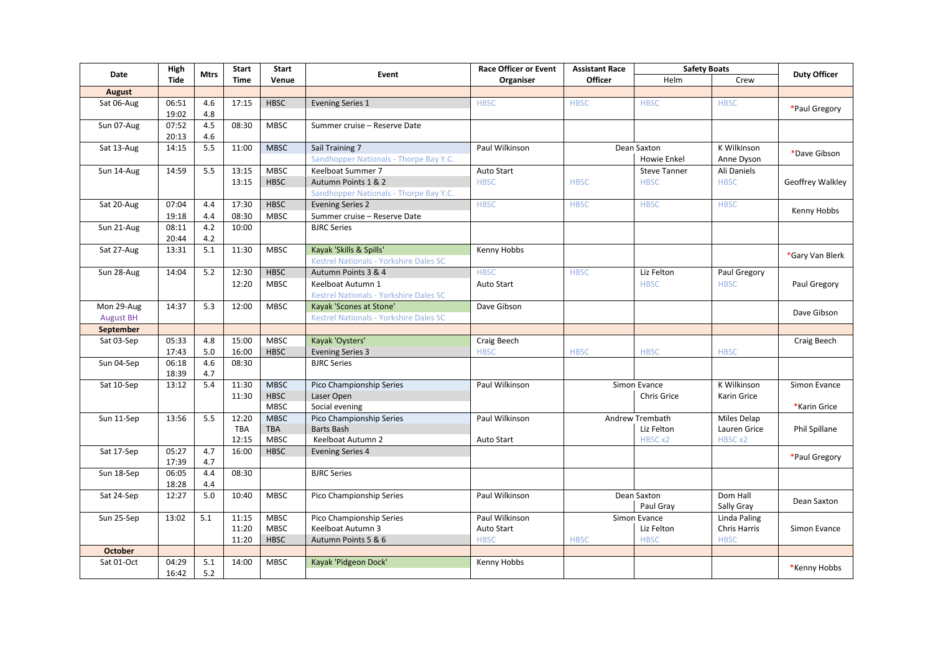| Date             | High        | <b>Mtrs</b> | Start       | <b>Start</b> | Event                                         | <b>Race Officer or Event</b> | <b>Assistant Race</b> | <b>Safety Boats</b> |                     | <b>Duty Officer</b> |
|------------------|-------------|-------------|-------------|--------------|-----------------------------------------------|------------------------------|-----------------------|---------------------|---------------------|---------------------|
|                  | <b>Tide</b> |             | <b>Time</b> | Venue        |                                               | Organiser                    | <b>Officer</b>        | Helm                | Crew                |                     |
| <b>August</b>    |             |             |             |              |                                               |                              |                       |                     |                     |                     |
| Sat 06-Aug       | 06:51       | 4.6         | 17:15       | <b>HBSC</b>  | <b>Evening Series 1</b>                       | <b>HBSC</b>                  | <b>HBSC</b>           | <b>HBSC</b>         | <b>HBSC</b>         | *Paul Gregory       |
|                  | 19:02       | 4.8         |             |              |                                               |                              |                       |                     |                     |                     |
| Sun 07-Aug       | 07:52       | 4.5         | 08:30       | <b>MBSC</b>  | Summer cruise - Reserve Date                  |                              |                       |                     |                     |                     |
|                  | 20:13       | 4.6         |             |              |                                               |                              |                       |                     |                     |                     |
| Sat 13-Aug       | 14:15       | 5.5         | 11:00       | <b>MBSC</b>  | Sail Training 7                               | Paul Wilkinson               |                       | Dean Saxton         | K Wilkinson         | *Dave Gibson        |
|                  |             |             |             |              | Sandhopper Nationals - Thorpe Bay Y.C.        |                              |                       | Howie Enkel         | Anne Dyson          |                     |
| Sun 14-Aug       | 14:59       | 5.5         | 13:15       | <b>MBSC</b>  | Keelboat Summer 7                             | Auto Start                   |                       | <b>Steve Tanner</b> | Ali Daniels         |                     |
|                  |             |             | 13:15       | <b>HBSC</b>  | Autumn Points 1 & 2                           | <b>HBSC</b>                  | <b>HBSC</b>           | <b>HBSC</b>         | <b>HBSC</b>         | Geoffrey Walkley    |
|                  |             |             |             |              | Sandhopper Nationals - Thorpe Bay Y.C.        |                              |                       |                     |                     |                     |
| Sat 20-Aug       | 07:04       | 4.4         | 17:30       | HBSC         | Evening Series 2                              | <b>HBSC</b>                  | <b>HBSC</b>           | <b>HBSC</b>         | <b>HBSC</b>         | Kenny Hobbs         |
|                  | 19:18       | 4.4         | 08:30       | <b>MBSC</b>  | Summer cruise - Reserve Date                  |                              |                       |                     |                     |                     |
| Sun 21-Aug       | 08:11       | 4.2         | 10:00       |              | <b>BJRC Series</b>                            |                              |                       |                     |                     |                     |
|                  | 20:44       | 4.2         |             |              |                                               |                              |                       |                     |                     |                     |
| Sat 27-Aug       | 13:31       | 5.1         | 11:30       | <b>MBSC</b>  | Kayak 'Skills & Spills'                       | Kenny Hobbs                  |                       |                     |                     | *Gary Van Blerk     |
|                  |             |             |             |              | <b>Kestrel Nationals - Yorkshire Dales SC</b> |                              |                       |                     |                     |                     |
| Sun 28-Aug       | 14:04       | 5.2         | 12:30       | HBSC         | Autumn Points 3 & 4                           | <b>HBSC</b>                  | <b>HBSC</b>           | Liz Felton          | Paul Gregory        |                     |
|                  |             |             | 12:20       | <b>MBSC</b>  | Keelboat Autumn 1                             | Auto Start                   |                       | <b>HBSC</b>         | <b>HBSC</b>         | Paul Gregory        |
|                  |             |             |             |              | Kestrel Nationals - Yorkshire Dales SC        |                              |                       |                     |                     |                     |
| Mon 29-Aug       | 14:37       | 5.3         | 12:00       | <b>MBSC</b>  | Kayak 'Scones at Stone'                       | Dave Gibson                  |                       |                     |                     |                     |
| <b>August BH</b> |             |             |             |              | Kestrel Nationals - Yorkshire Dales SC        |                              |                       |                     |                     | Dave Gibson         |
| September        |             |             |             |              |                                               |                              |                       |                     |                     |                     |
| Sat 03-Sep       | 05:33       | 4.8         | 15:00       | <b>MBSC</b>  | Kayak 'Oysters'                               | Craig Beech                  |                       |                     |                     | Craig Beech         |
|                  | 17:43       | 5.0         | 16:00       | <b>HBSC</b>  | <b>Evening Series 3</b>                       | <b>HBSC</b>                  | <b>HBSC</b>           | <b>HBSC</b>         | <b>HBSC</b>         |                     |
| Sun 04-Sep       | 06:18       | 4.6         | 08:30       |              | <b>BJRC Series</b>                            |                              |                       |                     |                     |                     |
|                  | 18:39       | 4.7         |             |              |                                               |                              |                       |                     |                     |                     |
| Sat 10-Sep       | 13:12       | 5.4         | 11:30       | <b>MBSC</b>  | Pico Championship Series                      | Paul Wilkinson               |                       | Simon Evance        | K Wilkinson         | Simon Evance        |
|                  |             |             | 11:30       | <b>HBSC</b>  | Laser Open                                    |                              |                       | Chris Grice         | Karin Grice         |                     |
|                  |             |             |             | <b>MBSC</b>  | Social evening                                |                              |                       |                     |                     | *Karin Grice        |
| Sun 11-Sep       | 13:56       | 5.5         | 12:20       | <b>MBSC</b>  | Pico Championship Series                      | Paul Wilkinson               |                       | Andrew Trembath     | Miles Delap         |                     |
|                  |             |             | <b>TBA</b>  | <b>TBA</b>   | <b>Barts Bash</b>                             |                              |                       | Liz Felton          | Lauren Grice        | Phil Spillane       |
|                  |             |             | 12:15       | <b>MBSC</b>  | Keelboat Autumn 2                             | <b>Auto Start</b>            |                       | HBSC x2             | HBSC x2             |                     |
| Sat 17-Sep       | 05:27       | 4.7         | 16:00       | <b>HBSC</b>  | <b>Evening Series 4</b>                       |                              |                       |                     |                     |                     |
|                  | 17:39       | 4.7         |             |              |                                               |                              |                       |                     |                     | *Paul Gregory       |
| Sun 18-Sep       | 06:05       | 4.4         | 08:30       |              | <b>BJRC Series</b>                            |                              |                       |                     |                     |                     |
|                  | 18:28       | 4.4         |             |              |                                               |                              |                       |                     |                     |                     |
| Sat 24-Sep       | 12:27       | 5.0         | 10:40       | <b>MBSC</b>  | Pico Championship Series                      | Paul Wilkinson               |                       | Dean Saxton         | Dom Hall            | Dean Saxton         |
|                  |             |             |             |              |                                               |                              |                       | Paul Grav           | Sally Gray          |                     |
| Sun 25-Sep       | 13:02       | 5.1         | 11:15       | <b>MBSC</b>  | Pico Championship Series                      | Paul Wilkinson               |                       | Simon Evance        | Linda Paling        |                     |
|                  |             |             | 11:20       | <b>MBSC</b>  | Keelboat Autumn 3                             | Auto Start                   |                       | Liz Felton          | <b>Chris Harris</b> | Simon Evance        |
|                  |             |             | 11:20       | <b>HBSC</b>  | Autumn Points 5 & 6                           | <b>HBSC</b>                  | <b>HBSC</b>           | <b>HBSC</b>         | <b>HBSC</b>         |                     |
| <b>October</b>   |             |             |             |              |                                               |                              |                       |                     |                     |                     |
| Sat 01-Oct       | 04:29       | 5.1         | 14:00       | <b>MBSC</b>  | Kayak 'Pidgeon Dock'                          | Kenny Hobbs                  |                       |                     |                     | *Kenny Hobbs        |
|                  | 16:42       | 5.2         |             |              |                                               |                              |                       |                     |                     |                     |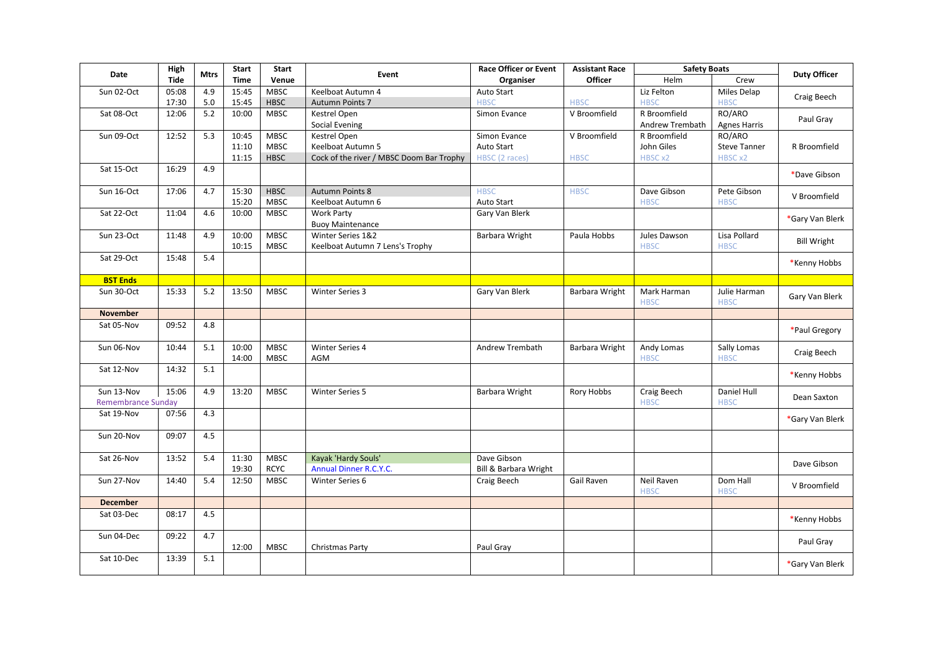| Date                      | High        | <b>Mtrs</b> | <b>Start</b>   | <b>Start</b>               | Event                                    | <b>Race Officer or Event</b> | <b>Assistant Race</b> | <b>Safety Boats</b>             |                               | <b>Duty Officer</b> |
|---------------------------|-------------|-------------|----------------|----------------------------|------------------------------------------|------------------------------|-----------------------|---------------------------------|-------------------------------|---------------------|
|                           | <b>Tide</b> |             | <b>Time</b>    | Venue                      |                                          | Organiser                    | Officer               | Helm                            | Crew                          |                     |
| Sun 02-Oct                | 05:08       | 4.9         | 15:45          | <b>MBSC</b>                | Keelboat Autumn 4                        | Auto Start                   |                       | Liz Felton                      | Miles Delap                   | Craig Beech         |
|                           | 17:30       | $5.0\,$     | 15:45          | <b>HBSC</b>                | Autumn Points 7                          | <b>HBSC</b>                  | <b>HBSC</b>           | <b>HBSC</b>                     | <b>HBSC</b>                   |                     |
| Sat 08-Oct                | 12:06       | 5.2         | 10:00          | <b>MBSC</b>                | Kestrel Open<br><b>Social Evening</b>    | Simon Evance                 | V Broomfield          | R Broomfield<br>Andrew Trembath | RO/ARO<br><b>Agnes Harris</b> | Paul Gray           |
| Sun 09-Oct                | 12:52       | 5.3         | 10:45          | <b>MBSC</b>                | <b>Kestrel Open</b>                      | Simon Evance                 | V Broomfield          | R Broomfield                    | RO/ARO                        |                     |
|                           |             |             | 11:10          | <b>MBSC</b>                | Keelboat Autumn 5                        | Auto Start                   |                       | John Giles                      | <b>Steve Tanner</b>           | R Broomfield        |
|                           |             |             | 11:15          | <b>HBSC</b>                | Cock of the river / MBSC Doom Bar Trophy | HBSC (2 races)               | <b>HBSC</b>           | HBSC x2                         | HBSC x2                       |                     |
| Sat 15-Oct                | 16:29       | 4.9         |                |                            |                                          |                              |                       |                                 |                               | *Dave Gibson        |
| Sun 16-Oct                | 17:06       | 4.7         | 15:30          | <b>HBSC</b>                | <b>Autumn Points 8</b>                   | <b>HBSC</b>                  | <b>HBSC</b>           | Dave Gibson                     | Pete Gibson                   | V Broomfield        |
|                           |             |             | 15:20          | <b>MBSC</b>                | Keelboat Autumn 6                        | Auto Start                   |                       | <b>HBSC</b>                     | <b>HBSC</b>                   |                     |
| Sat 22-Oct                | 11:04       | 4.6         | 10:00          | <b>MBSC</b>                | Work Party<br><b>Buoy Maintenance</b>    | Gary Van Blerk               |                       |                                 |                               | *Gary Van Blerk     |
| Sun 23-Oct                | 11:48       | 4.9         | 10:00          | MBSC                       | Winter Series 1&2                        | Barbara Wright               | Paula Hobbs           | Jules Dawson                    | Lisa Pollard                  |                     |
|                           |             |             | 10:15          | <b>MBSC</b>                | Keelboat Autumn 7 Lens's Trophy          |                              |                       | <b>HBSC</b>                     | <b>HBSC</b>                   | <b>Bill Wright</b>  |
| Sat 29-Oct                | 15:48       | 5.4         |                |                            |                                          |                              |                       |                                 |                               | *Kenny Hobbs        |
| <b>BST Ends</b>           |             |             |                |                            |                                          |                              |                       |                                 |                               |                     |
| Sun 30-Oct                | 15:33       | 5.2         | 13:50          | <b>MBSC</b>                | <b>Winter Series 3</b>                   | Gary Van Blerk               | Barbara Wright        | Mark Harman<br><b>HBSC</b>      | Julie Harman<br><b>HBSC</b>   | Gary Van Blerk      |
| <b>November</b>           |             |             |                |                            |                                          |                              |                       |                                 |                               |                     |
| Sat 05-Nov                | 09:52       | 4.8         |                |                            |                                          |                              |                       |                                 |                               | *Paul Gregory       |
| Sun 06-Nov                | 10:44       | 5.1         | 10:00<br>14:00 | <b>MBSC</b><br><b>MBSC</b> | <b>Winter Series 4</b><br>AGM            | <b>Andrew Trembath</b>       | Barbara Wright        | Andy Lomas<br><b>HBSC</b>       | Sally Lomas<br><b>HBSC</b>    | Craig Beech         |
| Sat 12-Nov                | 14:32       | 5.1         |                |                            |                                          |                              |                       |                                 |                               | *Kenny Hobbs        |
| Sun 13-Nov                | 15:06       | 4.9         | 13:20          | <b>MBSC</b>                | <b>Winter Series 5</b>                   | Barbara Wright               | Rory Hobbs            | Craig Beech                     | Daniel Hull                   |                     |
| <b>Remembrance Sunday</b> |             |             |                |                            |                                          |                              |                       | <b>HBSC</b>                     | <b>HBSC</b>                   | Dean Saxton         |
| Sat 19-Nov                | 07:56       | 4.3         |                |                            |                                          |                              |                       |                                 |                               | *Gary Van Blerk     |
| Sun 20-Nov                | 09:07       | 4.5         |                |                            |                                          |                              |                       |                                 |                               |                     |
| Sat 26-Nov                | 13:52       | 5.4         | 11:30          | <b>MBSC</b>                | Kayak 'Hardy Souls'                      | Dave Gibson                  |                       |                                 |                               |                     |
|                           |             |             | 19:30          | <b>RCYC</b>                | <b>Annual Dinner R.C.Y.C.</b>            | Bill & Barbara Wright        |                       |                                 |                               | Dave Gibson         |
| Sun 27-Nov                | 14:40       | 5.4         | 12:50          | <b>MBSC</b>                | Winter Series 6                          | Craig Beech                  | Gail Raven            | Neil Raven<br><b>HBSC</b>       | Dom Hall<br><b>HBSC</b>       | V Broomfield        |
| <b>December</b>           |             |             |                |                            |                                          |                              |                       |                                 |                               |                     |
| Sat 03-Dec                | 08:17       | 4.5         |                |                            |                                          |                              |                       |                                 |                               | *Kenny Hobbs        |
| Sun 04-Dec                | 09:22       | 4.7         | 12:00          | <b>MBSC</b>                | Christmas Party                          | Paul Gray                    |                       |                                 |                               | Paul Gray           |
| Sat 10-Dec                | 13:39       | $5.1\,$     |                |                            |                                          |                              |                       |                                 |                               |                     |
|                           |             |             |                |                            |                                          |                              |                       |                                 |                               | *Gary Van Blerk     |